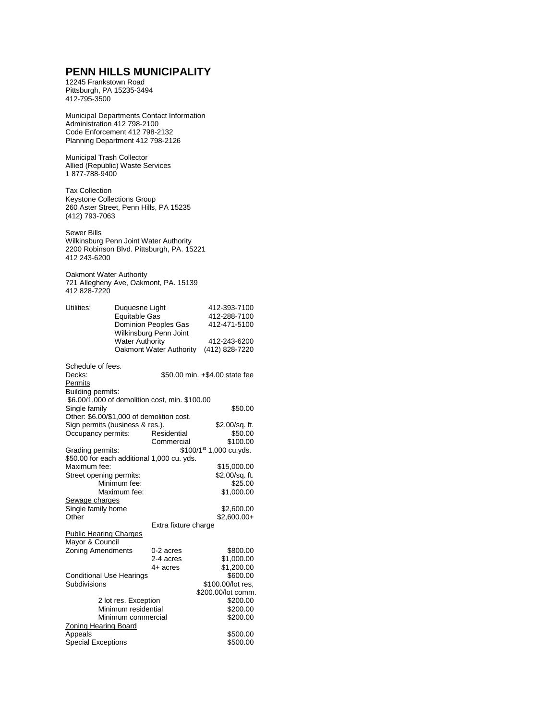## **PENN HILLS MUNICIPALITY**

12245 Frankstown Road Pittsburgh, PA 15235-3494 412-795-3500

Municipal Departments Contact Information Administration 412 798-2100 Code Enforcement 412 798-2132 Planning Department 412 798-2126

Municipal Trash Collector Allied (Republic) Waste Services 1 877-788-9400

Tax Collection Keystone Collections Group 260 Aster Street, Penn Hills, PA 15235 (412) 793-7063

Sewer Bills Wilkinsburg Penn Joint Water Authority 2200 Robinson Blvd. Pittsburgh, PA. 15221 412 243-6200

Oakmont Water Authority 721 Allegheny Ave, Oakmont, PA. 15139 412 828-7220

| <b>Water Authority</b><br>Oakmont Water Authority<br>(412) 828-7220<br>Schedule of fees.<br>\$50.00 min. +\$4.00 state fee<br><b>Building permits:</b><br>\$6.00/1,000 of demolition cost, min. \$100.00<br>Single family<br>\$50.00<br>Other: \$6.00/\$1,000 of demolition cost.<br>Sign permits (business & res.).<br>\$2.00/sq. ft.<br>Occupancy permits:<br>Residential<br>\$50.00<br>Commercial<br>\$100.00<br>\$100/1 <sup>st</sup> 1,000 cu.yds.<br>\$50.00 for each additional 1,000 cu. yds.<br>Maximum fee:<br>\$15,000.00<br>\$2.00/sq. ft.<br>Street opening permits:<br>Minimum fee:<br>\$25.00<br>Maximum fee:<br>\$1,000.00<br>Sewage charges<br>Single family home<br>\$2,600.00<br>$$2,600.00+$<br>Other<br>Extra fixture charge<br><b>Public Hearing Charges</b><br>Mayor & Council<br><b>Zoning Amendments</b><br>0-2 acres<br>\$800.00<br>\$1,000.00<br>2-4 acres<br>\$1,200.00<br>4+ acres<br>\$600.00<br><b>Conditional Use Hearings</b><br>Subdivisions<br>\$100.00/lot res,<br>\$200.00/lot comm.<br>2 lot res. Exception<br>\$200.00<br>Minimum residential<br>\$200.00<br>\$200.00<br>Minimum commercial<br><b>Zoning Hearing Board</b><br>Appeals<br>\$500.00 | Utilities:                | Duquesne Light<br>Equitable Gas<br><b>Dominion Peoples Gas</b><br>Wilkinsburg Penn Joint |  | 412-393-7100<br>412-288-7100<br>412-471-5100 |  |  |
|------------------------------------------------------------------------------------------------------------------------------------------------------------------------------------------------------------------------------------------------------------------------------------------------------------------------------------------------------------------------------------------------------------------------------------------------------------------------------------------------------------------------------------------------------------------------------------------------------------------------------------------------------------------------------------------------------------------------------------------------------------------------------------------------------------------------------------------------------------------------------------------------------------------------------------------------------------------------------------------------------------------------------------------------------------------------------------------------------------------------------------------------------------------------------------------|---------------------------|------------------------------------------------------------------------------------------|--|----------------------------------------------|--|--|
|                                                                                                                                                                                                                                                                                                                                                                                                                                                                                                                                                                                                                                                                                                                                                                                                                                                                                                                                                                                                                                                                                                                                                                                          |                           |                                                                                          |  | 412-243-6200                                 |  |  |
|                                                                                                                                                                                                                                                                                                                                                                                                                                                                                                                                                                                                                                                                                                                                                                                                                                                                                                                                                                                                                                                                                                                                                                                          | Decks:<br>Permits         |                                                                                          |  |                                              |  |  |
|                                                                                                                                                                                                                                                                                                                                                                                                                                                                                                                                                                                                                                                                                                                                                                                                                                                                                                                                                                                                                                                                                                                                                                                          |                           |                                                                                          |  |                                              |  |  |
|                                                                                                                                                                                                                                                                                                                                                                                                                                                                                                                                                                                                                                                                                                                                                                                                                                                                                                                                                                                                                                                                                                                                                                                          |                           |                                                                                          |  |                                              |  |  |
|                                                                                                                                                                                                                                                                                                                                                                                                                                                                                                                                                                                                                                                                                                                                                                                                                                                                                                                                                                                                                                                                                                                                                                                          |                           |                                                                                          |  |                                              |  |  |
|                                                                                                                                                                                                                                                                                                                                                                                                                                                                                                                                                                                                                                                                                                                                                                                                                                                                                                                                                                                                                                                                                                                                                                                          |                           |                                                                                          |  |                                              |  |  |
|                                                                                                                                                                                                                                                                                                                                                                                                                                                                                                                                                                                                                                                                                                                                                                                                                                                                                                                                                                                                                                                                                                                                                                                          |                           |                                                                                          |  |                                              |  |  |
|                                                                                                                                                                                                                                                                                                                                                                                                                                                                                                                                                                                                                                                                                                                                                                                                                                                                                                                                                                                                                                                                                                                                                                                          | Grading permits:          |                                                                                          |  |                                              |  |  |
|                                                                                                                                                                                                                                                                                                                                                                                                                                                                                                                                                                                                                                                                                                                                                                                                                                                                                                                                                                                                                                                                                                                                                                                          |                           |                                                                                          |  |                                              |  |  |
|                                                                                                                                                                                                                                                                                                                                                                                                                                                                                                                                                                                                                                                                                                                                                                                                                                                                                                                                                                                                                                                                                                                                                                                          |                           |                                                                                          |  |                                              |  |  |
|                                                                                                                                                                                                                                                                                                                                                                                                                                                                                                                                                                                                                                                                                                                                                                                                                                                                                                                                                                                                                                                                                                                                                                                          |                           |                                                                                          |  |                                              |  |  |
|                                                                                                                                                                                                                                                                                                                                                                                                                                                                                                                                                                                                                                                                                                                                                                                                                                                                                                                                                                                                                                                                                                                                                                                          |                           |                                                                                          |  |                                              |  |  |
|                                                                                                                                                                                                                                                                                                                                                                                                                                                                                                                                                                                                                                                                                                                                                                                                                                                                                                                                                                                                                                                                                                                                                                                          |                           |                                                                                          |  |                                              |  |  |
|                                                                                                                                                                                                                                                                                                                                                                                                                                                                                                                                                                                                                                                                                                                                                                                                                                                                                                                                                                                                                                                                                                                                                                                          |                           |                                                                                          |  |                                              |  |  |
|                                                                                                                                                                                                                                                                                                                                                                                                                                                                                                                                                                                                                                                                                                                                                                                                                                                                                                                                                                                                                                                                                                                                                                                          |                           |                                                                                          |  |                                              |  |  |
|                                                                                                                                                                                                                                                                                                                                                                                                                                                                                                                                                                                                                                                                                                                                                                                                                                                                                                                                                                                                                                                                                                                                                                                          |                           |                                                                                          |  |                                              |  |  |
|                                                                                                                                                                                                                                                                                                                                                                                                                                                                                                                                                                                                                                                                                                                                                                                                                                                                                                                                                                                                                                                                                                                                                                                          |                           |                                                                                          |  |                                              |  |  |
|                                                                                                                                                                                                                                                                                                                                                                                                                                                                                                                                                                                                                                                                                                                                                                                                                                                                                                                                                                                                                                                                                                                                                                                          |                           |                                                                                          |  |                                              |  |  |
|                                                                                                                                                                                                                                                                                                                                                                                                                                                                                                                                                                                                                                                                                                                                                                                                                                                                                                                                                                                                                                                                                                                                                                                          |                           |                                                                                          |  |                                              |  |  |
|                                                                                                                                                                                                                                                                                                                                                                                                                                                                                                                                                                                                                                                                                                                                                                                                                                                                                                                                                                                                                                                                                                                                                                                          |                           |                                                                                          |  |                                              |  |  |
|                                                                                                                                                                                                                                                                                                                                                                                                                                                                                                                                                                                                                                                                                                                                                                                                                                                                                                                                                                                                                                                                                                                                                                                          |                           |                                                                                          |  |                                              |  |  |
|                                                                                                                                                                                                                                                                                                                                                                                                                                                                                                                                                                                                                                                                                                                                                                                                                                                                                                                                                                                                                                                                                                                                                                                          |                           |                                                                                          |  |                                              |  |  |
|                                                                                                                                                                                                                                                                                                                                                                                                                                                                                                                                                                                                                                                                                                                                                                                                                                                                                                                                                                                                                                                                                                                                                                                          |                           |                                                                                          |  |                                              |  |  |
|                                                                                                                                                                                                                                                                                                                                                                                                                                                                                                                                                                                                                                                                                                                                                                                                                                                                                                                                                                                                                                                                                                                                                                                          |                           |                                                                                          |  |                                              |  |  |
|                                                                                                                                                                                                                                                                                                                                                                                                                                                                                                                                                                                                                                                                                                                                                                                                                                                                                                                                                                                                                                                                                                                                                                                          |                           |                                                                                          |  |                                              |  |  |
|                                                                                                                                                                                                                                                                                                                                                                                                                                                                                                                                                                                                                                                                                                                                                                                                                                                                                                                                                                                                                                                                                                                                                                                          |                           |                                                                                          |  |                                              |  |  |
|                                                                                                                                                                                                                                                                                                                                                                                                                                                                                                                                                                                                                                                                                                                                                                                                                                                                                                                                                                                                                                                                                                                                                                                          |                           |                                                                                          |  |                                              |  |  |
|                                                                                                                                                                                                                                                                                                                                                                                                                                                                                                                                                                                                                                                                                                                                                                                                                                                                                                                                                                                                                                                                                                                                                                                          |                           |                                                                                          |  |                                              |  |  |
|                                                                                                                                                                                                                                                                                                                                                                                                                                                                                                                                                                                                                                                                                                                                                                                                                                                                                                                                                                                                                                                                                                                                                                                          |                           |                                                                                          |  |                                              |  |  |
|                                                                                                                                                                                                                                                                                                                                                                                                                                                                                                                                                                                                                                                                                                                                                                                                                                                                                                                                                                                                                                                                                                                                                                                          | <b>Special Exceptions</b> |                                                                                          |  | \$500.00                                     |  |  |